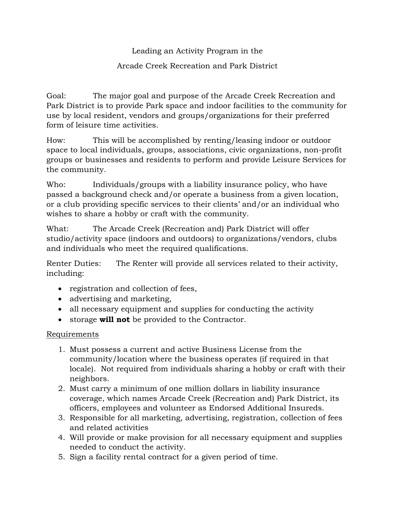## Leading an Activity Program in the

## Arcade Creek Recreation and Park District

Goal: The major goal and purpose of the Arcade Creek Recreation and Park District is to provide Park space and indoor facilities to the community for use by local resident, vendors and groups/organizations for their preferred form of leisure time activities.

How: This will be accomplished by renting/leasing indoor or outdoor space to local individuals, groups, associations, civic organizations, non-profit groups or businesses and residents to perform and provide Leisure Services for the community.

Who: Individuals/groups with a liability insurance policy, who have passed a background check and/or operate a business from a given location, or a club providing specific services to their clients' and/or an individual who wishes to share a hobby or craft with the community.

What: The Arcade Creek (Recreation and) Park District will offer studio/activity space (indoors and outdoors) to organizations/vendors, clubs and individuals who meet the required qualifications.

Renter Duties: The Renter will provide all services related to their activity, including:

- registration and collection of fees,
- advertising and marketing,
- all necessary equipment and supplies for conducting the activity
- storage **will not** be provided to the Contractor.

## Requirements

- 1. Must possess a current and active Business License from the community/location where the business operates (if required in that locale). Not required from individuals sharing a hobby or craft with their neighbors.
- 2. Must carry a minimum of one million dollars in liability insurance coverage, which names Arcade Creek (Recreation and) Park District, its officers, employees and volunteer as Endorsed Additional Insureds.
- 3. Responsible for all marketing, advertising, registration, collection of fees and related activities
- 4. Will provide or make provision for all necessary equipment and supplies needed to conduct the activity.
- 5. Sign a facility rental contract for a given period of time.